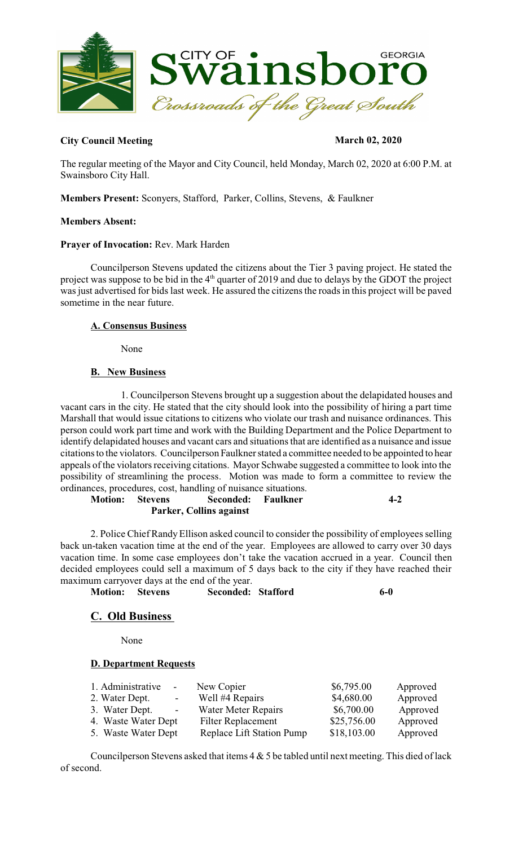

### **City Council Meeting March 02, 2020**

The regular meeting of the Mayor and City Council, held Monday, March 02, 2020 at 6:00 P.M. at Swainsboro City Hall.

**Members Present:** Sconyers, Stafford, Parker, Collins, Stevens, & Faulkner

#### **Members Absent:**

#### **Prayer of Invocation:** Rev. Mark Harden

Councilperson Stevens updated the citizens about the Tier 3 paving project. He stated the project was suppose to be bid in the  $4<sup>th</sup>$  quarter of 2019 and due to delays by the GDOT the project was just advertised for bids last week. He assured the citizens the roads in this project will be paved sometime in the near future.

#### **A. Consensus Business**

None

## **B. New Business**

1. Councilperson Stevens brought up a suggestion about the delapidated houses and vacant cars in the city. He stated that the city should look into the possibility of hiring a part time Marshall that would issue citations to citizens who violate our trash and nuisance ordinances. This person could work part time and work with the Building Department and the Police Department to identify delapidated houses and vacant cars and situations that are identified as a nuisance and issue citationsto the violators. Councilperson Faulkner stated a committee needed to be appointed to hear appeals of the violators receiving citations. Mayor Schwabe suggested a committee to look into the possibility of streamlining the process. Motion was made to form a committee to review the ordinances, procedures, cost, handling of nuisance situations.

**Motion: Stevens Seconded: Faulkner 4-2 Parker, Collins against**

2. Police Chief Randy Ellison asked council to consider the possibility of employees selling back un-taken vacation time at the end of the year. Employees are allowed to carry over 30 days vacation time. In some case employees don't take the vacation accrued in a year. Council then decided employees could sell a maximum of 5 days back to the city if they have reached their maximum carryover days at the end of the year.

**Motion: Stevens Seconded: Stafford 6-0** 

# **C. Old Business**

None

#### **D. Department Requests**

| 1. Administrative<br>$\sim$  | New Copier                 | \$6,795.00  | Approved |
|------------------------------|----------------------------|-------------|----------|
| 2. Water Dept.<br>$\sim 100$ | Well #4 Repairs            | \$4,680.00  | Approved |
| 3. Water Dept.<br>$\sim 100$ | <b>Water Meter Repairs</b> | \$6,700.00  | Approved |
| 4. Waste Water Dept          | <b>Filter Replacement</b>  | \$25,756.00 | Approved |
| 5. Waste Water Dept          | Replace Lift Station Pump  | \$18,103.00 | Approved |

Councilperson Stevens asked that items  $4 \& 5$  be tabled until next meeting. This died of lack of second.